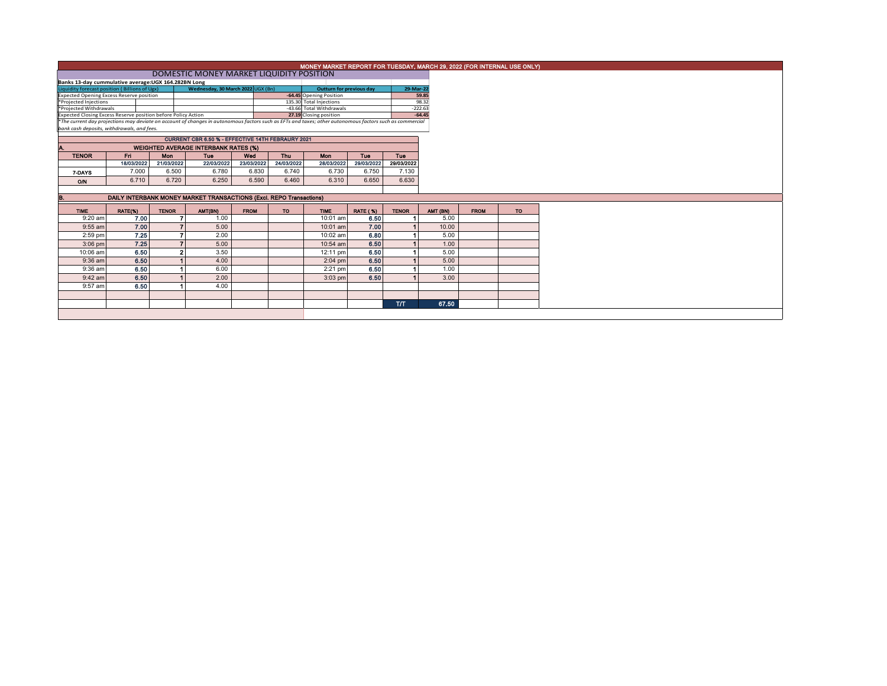|                                                                                                                                                                                                        | MONEY MARKET REPORT FOR TUESDAY, MARCH 29, 2022 (FOR INTERNAL USE ONLY) |              |            |             |            |             |                                 |              |          |             |     |  |  |
|--------------------------------------------------------------------------------------------------------------------------------------------------------------------------------------------------------|-------------------------------------------------------------------------|--------------|------------|-------------|------------|-------------|---------------------------------|--------------|----------|-------------|-----|--|--|
|                                                                                                                                                                                                        |                                                                         |              |            |             |            |             |                                 |              |          |             |     |  |  |
| Banks 13-day cummulative average: UGX 164.282BN Long                                                                                                                                                   |                                                                         |              |            |             |            |             |                                 |              |          |             |     |  |  |
| Wednesday, 30 March 2022 UGX (Bn)<br>Liquidity forecast position (Billions of Ugx)                                                                                                                     |                                                                         |              |            |             |            |             | <b>Outturn for previous day</b> | 29-Mar-22    |          |             |     |  |  |
| -64.45 Opening Position<br><b>Expected Opening Excess Reserve position</b>                                                                                                                             |                                                                         |              |            |             |            |             |                                 |              | 59.85    |             |     |  |  |
| *Projected Injections<br>*Projected Withdrawals                                                                                                                                                        | 135.30 Total Injections<br>-43.66 Total Withdrawals                     |              | $-222.63$  | 98.32       |            |             |                                 |              |          |             |     |  |  |
| Expected Closing Excess Reserve position before Policy Action                                                                                                                                          | 27.19 Closing position                                                  |              |            | $-64.45$    |            |             |                                 |              |          |             |     |  |  |
|                                                                                                                                                                                                        |                                                                         |              |            |             |            |             |                                 |              |          |             |     |  |  |
| *The current day projections may deviate on account of changes in autonomous factors such as EFTs and taxes; other autonomous factors such as commercial<br>bank cash deposits, withdrawals, and fees. |                                                                         |              |            |             |            |             |                                 |              |          |             |     |  |  |
|                                                                                                                                                                                                        |                                                                         |              |            |             |            |             |                                 |              |          |             |     |  |  |
|                                                                                                                                                                                                        | <b>WEIGHTED AVERAGE INTERBANK RATES (%)</b>                             |              |            |             |            |             |                                 |              |          |             |     |  |  |
| <b>TENOR</b>                                                                                                                                                                                           | Fri.                                                                    | <b>Mon</b>   | <b>Tue</b> | Wed         | <b>Thu</b> | <b>Mon</b>  | <b>Tue</b>                      | <b>Tuo</b>   |          |             |     |  |  |
|                                                                                                                                                                                                        | 18/03/2022                                                              | 21/03/2022   | 22/03/2022 | 23/03/2022  | 24/03/2022 | 28/03/2022  | 29/03/2022                      | 29/03/2022   |          |             |     |  |  |
| 7-DAYS                                                                                                                                                                                                 | 7.000                                                                   | 6.500        | 6.780      | 6.830       | 6.740      | 6.730       | 6.750                           | 7.130        |          |             |     |  |  |
| <b>O/N</b>                                                                                                                                                                                             | 6.710                                                                   | 6.720        | 6.250      | 6.590       | 6.460      | 6.310       | 6.650                           | 6.630        |          |             |     |  |  |
|                                                                                                                                                                                                        |                                                                         |              |            |             |            |             |                                 |              |          |             |     |  |  |
| в.                                                                                                                                                                                                     | DAILY INTERBANK MONEY MARKET TRANSACTIONS (Excl. REPO Transactions)     |              |            |             |            |             |                                 |              |          |             |     |  |  |
| <b>TIME</b>                                                                                                                                                                                            | RATE(%)                                                                 | <b>TENOR</b> | AMT(BN)    | <b>FROM</b> | TO:        | <b>TIME</b> | <b>RATE (%)</b>                 | <b>TENOR</b> | AMT (BN) | <b>FROM</b> | TO. |  |  |
| $9:20$ am                                                                                                                                                                                              | 7.00                                                                    |              | 1.00       |             |            | 10:01 am    | 6.50                            |              |          |             |     |  |  |
|                                                                                                                                                                                                        |                                                                         |              |            |             |            |             |                                 |              | 5.00     |             |     |  |  |
| 9:55 am                                                                                                                                                                                                | 7.00                                                                    |              | 5.00       |             |            | 10:01 am    | 7.00                            |              | 10.00    |             |     |  |  |
| 2:59 pm                                                                                                                                                                                                | 7.25                                                                    |              | 2.00       |             |            | 10:02 am    | 6.80                            |              | 5.00     |             |     |  |  |
| $3:06$ pm                                                                                                                                                                                              | 7.25                                                                    |              | 5.00       |             |            | 10:54 am    | 6.50                            |              | 1.00     |             |     |  |  |
| 10:06 am                                                                                                                                                                                               | 6.50                                                                    |              | 3.50       |             |            | 12:11 pm    | 6.50                            |              | 5.00     |             |     |  |  |
| $9:36$ am                                                                                                                                                                                              | 6.50                                                                    |              | 4.00       |             |            | $2:04$ pm   | 6.50                            |              | 5.00     |             |     |  |  |
| 9:36 am                                                                                                                                                                                                | 6.50                                                                    |              | 6.00       |             |            | $2:21$ pm   | 6.50                            |              | 1.00     |             |     |  |  |
| $9:42$ am                                                                                                                                                                                              | 6.50                                                                    |              | 2.00       |             |            | $3:03$ pm   | 6.50                            |              | 3.00     |             |     |  |  |
| 9:57 am                                                                                                                                                                                                | 6.50                                                                    |              | 4.00       |             |            |             |                                 |              |          |             |     |  |  |
|                                                                                                                                                                                                        |                                                                         |              |            |             |            |             |                                 |              |          |             |     |  |  |
|                                                                                                                                                                                                        |                                                                         |              |            |             |            |             |                                 | <b>T/T</b>   | 67.50    |             |     |  |  |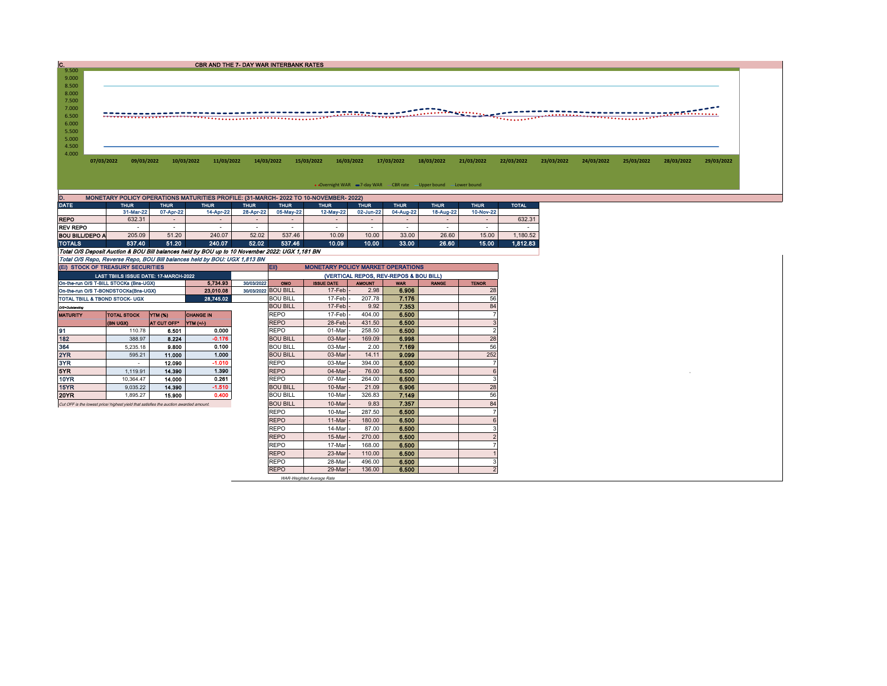| С.             |            |            |            | CBR AND THE 7- DAY WAR INTERBANK RATES                                               |            |            |            |                                                      |            |             |            |            |            |            |                             |            |
|----------------|------------|------------|------------|--------------------------------------------------------------------------------------|------------|------------|------------|------------------------------------------------------|------------|-------------|------------|------------|------------|------------|-----------------------------|------------|
| 9.500          |            |            |            |                                                                                      |            |            |            |                                                      |            |             |            |            |            |            |                             |            |
| 9.000          |            |            |            |                                                                                      |            |            |            |                                                      |            |             |            |            |            |            |                             |            |
| 8.500          |            |            |            |                                                                                      |            |            |            |                                                      |            |             |            |            |            |            |                             |            |
| 8.000          |            |            |            |                                                                                      |            |            |            |                                                      |            |             |            |            |            |            |                             |            |
| 7.500          |            |            |            |                                                                                      |            |            |            |                                                      |            |             |            |            |            |            |                             |            |
| 7.000          |            |            |            |                                                                                      |            |            |            |                                                      |            |             |            |            |            |            | <u> Transa postala esta</u> |            |
| 6.500          |            |            |            |                                                                                      |            |            |            |                                                      |            |             |            |            |            |            |                             |            |
| 6.000          |            |            |            |                                                                                      |            |            |            |                                                      |            |             |            |            |            |            |                             |            |
| 5.500          |            |            |            |                                                                                      |            |            |            |                                                      |            |             |            |            |            |            |                             |            |
| 5.000          |            |            |            |                                                                                      |            |            |            |                                                      |            |             |            |            |            |            |                             |            |
| 4.500<br>4.000 |            |            |            |                                                                                      |            |            |            |                                                      |            |             |            |            |            |            |                             |            |
|                | 07/03/2022 | 09/03/2022 | 10/03/2022 | 11/03/2022                                                                           | 14/03/2022 | 15/03/2022 | 16/03/2022 | 17/03/2022                                           | 18/03/2022 | 21/03/2022  | 22/03/2022 | 23/03/2022 | 24/03/2022 | 25/03/2022 | 28/03/2022                  | 29/03/2022 |
|                |            |            |            |                                                                                      |            |            |            |                                                      |            |             |            |            |            |            |                             |            |
|                |            |            |            |                                                                                      |            |            |            |                                                      |            |             |            |            |            |            |                             |            |
|                |            |            |            |                                                                                      |            |            |            | • Overnight WAR = 7-day WAR - CBR rate - Upper bound |            | Lower bound |            |            |            |            |                             |            |
| D.             |            |            |            |                                                                                      |            |            |            |                                                      |            |             |            |            |            |            |                             |            |
|                |            |            |            | MONETARY POLICY OPERATIONS MATURITIES PROFILE: (31-MARCH- 2022 TO 10-NOVEMBER- 2022) |            |            |            |                                                      |            |             |            |            |            |            |                             |            |

| .                                                                                              |             |             |             |             |                                                        |             |             |                          |                          |                          |              |  |  |  |
|------------------------------------------------------------------------------------------------|-------------|-------------|-------------|-------------|--------------------------------------------------------|-------------|-------------|--------------------------|--------------------------|--------------------------|--------------|--|--|--|
| <b>DATE</b>                                                                                    | <b>THUR</b> | <b>THUR</b> | <b>THUR</b> | <b>THUR</b> | <b>THUR</b>                                            | <b>THUR</b> | <b>THUR</b> | <b>THUR</b>              | <b>THUR</b>              | <b>THUR</b>              | <b>TOTAL</b> |  |  |  |
|                                                                                                | 31-Mar-22   | 07-Apr-22   | 14-Apr-22   | 28-Apr-22   | 05-May-22                                              | 12-May-22   | 02-Jun-22   | 04-Aug-22                | 18-Aug-22                | 10-Nov-22                |              |  |  |  |
| <b>REPO</b>                                                                                    | 632.31      |             | -           |             | $\overline{\phantom{0}}$                               |             | -           | -                        | $\sim$                   | $\overline{\phantom{0}}$ | 632.31       |  |  |  |
| <b>REV REPO</b>                                                                                | ۰           |             |             |             | $\overline{\phantom{a}}$                               |             | -           | $\overline{\phantom{a}}$ | $\overline{\phantom{a}}$ | $\overline{\phantom{a}}$ |              |  |  |  |
| BOU BILL/DEPO A                                                                                | 205.09      | 51.20       | 240.07      | 52.02       | 537.46                                                 | 10.09       | 10.00       | 33.00                    | 26.60                    | 15.00                    | 1.180.52     |  |  |  |
| <b>TOTALS</b>                                                                                  | 837.40      | 51.20       | 240.07      | 52.02       | 537.46                                                 | 10.09       | 10.00       | 33.00                    | 26.60                    | 15.00                    | 1.812.83     |  |  |  |
| Total O/S Deposit Auction & BOU Bill balances held by BOU up to 10 November 2022: UGX 1.181 BN |             |             |             |             |                                                        |             |             |                          |                          |                          |              |  |  |  |
| Total O/S Repo, Reverse Repo, BOU Bill balances held by BOU: UGX 1,813 BN                      |             |             |             |             |                                                        |             |             |                          |                          |                          |              |  |  |  |
| (EI) STOCK OF TREASURY SECURITIES                                                              |             |             |             |             | <b>EID</b><br><b>MONETARY POLICY MARKET OPERATIONS</b> |             |             |                          |                          |                          |              |  |  |  |

|                                                                          | (EI) STOCK OF TREASURY SECURITIES                                                     |             |                      |  | (لاط<br><b>MONETARY POLICY MARKET OPERATIONS</b> |                     |               |            |              |              |  |  |  |
|--------------------------------------------------------------------------|---------------------------------------------------------------------------------------|-------------|----------------------|--|--------------------------------------------------|---------------------|---------------|------------|--------------|--------------|--|--|--|
|                                                                          | LAST TBIILS ISSUE DATE: 17-MARCH-2022                                                 |             |                      |  | (VERTICAL REPOS, REV-REPOS & BOU BILL)           |                     |               |            |              |              |  |  |  |
| 5.734.93<br>30/03/2022<br>On-the-run O/S T-BILL STOCKs (Bns-UGX)         |                                                                                       |             |                      |  |                                                  | <b>ISSUE DATE</b>   | <b>AMOUNT</b> | <b>WAR</b> | <b>RANGE</b> | <b>TENOR</b> |  |  |  |
| 30/03/2022 BOU BILL<br>23.010.08<br>On-the-run O/S T-BONDSTOCKs(Bns-UGX) |                                                                                       |             |                      |  |                                                  | $17$ -Feb $\vert$ - | 2.98          | 6.906      |              | 28           |  |  |  |
| 28,745.02<br>TOTAL TBILL & TBOND STOCK- UGX                              |                                                                                       |             |                      |  | <b>BOU BILL</b>                                  | 17-Feb -            | 207.78        | 7.176      |              | 56           |  |  |  |
| O/S=Outstanding                                                          |                                                                                       |             |                      |  | <b>BOU BILL</b>                                  | 17-Feb -            | 9.92          | 7.353      |              | 84           |  |  |  |
| <b>MATURITY</b>                                                          | <b>TOTAL STOCK</b>                                                                    | YTM (%)     | <b>CHANGE IN</b>     |  | <b>REPO</b>                                      | 17-Feb -            | 404.00        | 6.500      |              |              |  |  |  |
|                                                                          | <b>(BN UGX)</b>                                                                       | AT CUT OFF* | $\mathsf{YTM}$ (+/-) |  | <b>REPO</b>                                      | 28-Feb-             | 431.50        | 6.500      |              |              |  |  |  |
| 91                                                                       | 110.78                                                                                | 6.501       | 0.000                |  | <b>REPO</b>                                      | 01-Mar              | 258.50        | 6.500      |              |              |  |  |  |
| 182                                                                      | 388.97                                                                                | 8.224       | $-0.176$             |  | <b>BOU BILL</b>                                  | 03-Mar              | 169.09        | 6.998      |              | 28           |  |  |  |
| 364                                                                      | 5,235.18                                                                              | 9.800       | 0.100                |  | <b>BOU BILL</b>                                  | 03-Mar              | 2.00          | 7.169      |              | 56           |  |  |  |
| 2YR                                                                      | 595.21                                                                                | 11.000      | 1.000                |  | <b>BOU BILL</b>                                  | 03-Mar              | 14.11         | 9.099      |              | 252          |  |  |  |
| 3YR                                                                      |                                                                                       | 12.090      | $-1.010$             |  | <b>REPO</b>                                      | 03-Mar              | 394.00        | 6.500      |              |              |  |  |  |
| 5YR                                                                      | 1.119.91                                                                              | 14,390      | 1.390                |  | <b>REPO</b>                                      | 04-Mar              | 76.00         | 6.500      |              |              |  |  |  |
| 10YR                                                                     | 10.364.47                                                                             | 14.000      | 0.261                |  | <b>REPO</b>                                      | 07-Mar              | 264.00        | 6.500      |              |              |  |  |  |
| 15YR                                                                     | 9,035.22                                                                              | 14.390      | $-1.510$             |  | <b>BOU BILL</b>                                  | 10-Mar              | 21.09         | 6.906      |              | 28           |  |  |  |
| 20YR                                                                     | 1,895.27                                                                              | 15,900      | 0.400                |  | <b>BOU BILL</b>                                  | 10-Mar              | 326.83        | 7.149      |              | 56           |  |  |  |
|                                                                          | Cut OFF is the lowest price/ highest yield that satisfies the auction awarded amount. |             |                      |  | <b>BOU BILL</b>                                  | 10-Mar              | 9.83          | 7.357      |              | 84           |  |  |  |
|                                                                          |                                                                                       |             |                      |  | <b>REPO</b>                                      | 10-Mar              | 287.50        | 6.500      |              |              |  |  |  |
|                                                                          |                                                                                       |             |                      |  | <b>REPO</b>                                      | 11-Mar              | 180.00        | 6.500      |              |              |  |  |  |
|                                                                          |                                                                                       |             |                      |  | <b>REPO</b>                                      | 14-Mar              | 87.00         | 6.500      |              |              |  |  |  |
|                                                                          |                                                                                       |             |                      |  | <b>REPO</b>                                      | 15-Mar              | 270.00        | 6,500      |              |              |  |  |  |
|                                                                          |                                                                                       |             |                      |  | <b>REPO</b>                                      | 17-Mar              | 168.00        | 6.500      |              |              |  |  |  |
|                                                                          |                                                                                       |             |                      |  | <b>REPO</b>                                      | 23-Mar              | 110.00        | 6.500      |              |              |  |  |  |
|                                                                          |                                                                                       |             |                      |  | <b>REPO</b>                                      | 28-Mar              | 496.00        | 6.500      |              |              |  |  |  |
|                                                                          |                                                                                       |             |                      |  | <b>REPO</b>                                      | 29-Mar -            | 136.00        | 6.500      |              |              |  |  |  |

WAR-Weighted Average Rate